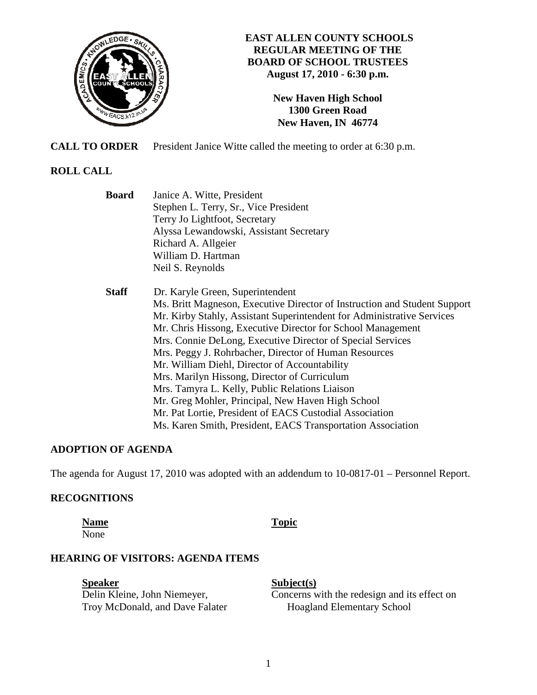

## **EAST ALLEN COUNTY SCHOOLS REGULAR MEETING OF THE BOARD OF SCHOOL TRUSTEES August 17, 2010 - 6:30 p.m.**

**New Haven High School 1300 Green Road New Haven, IN 46774**

**CALL TO ORDER** President Janice Witte called the meeting to order at 6:30 p.m.

# **ROLL CALL**

 **Board** Janice A. Witte, President Stephen L. Terry, Sr., Vice President Terry Jo Lightfoot, Secretary Alyssa Lewandowski, Assistant Secretary Richard A. Allgeier William D. Hartman Neil S. Reynolds

 **Staff** Dr. Karyle Green, Superintendent Ms. Britt Magneson, Executive Director of Instruction and Student Support Mr. Kirby Stahly, Assistant Superintendent for Administrative Services Mr. Chris Hissong, Executive Director for School Management Mrs. Connie DeLong, Executive Director of Special Services Mrs. Peggy J. Rohrbacher, Director of Human Resources Mr. William Diehl, Director of Accountability Mrs. Marilyn Hissong, Director of Curriculum Mrs. Tamyra L. Kelly, Public Relations Liaison Mr. Greg Mohler, Principal, New Haven High School Mr. Pat Lortie, President of EACS Custodial Association Ms. Karen Smith, President, EACS Transportation Association

# **ADOPTION OF AGENDA**

The agenda for August 17, 2010 was adopted with an addendum to 10-0817-01 – Personnel Report.

# **RECOGNITIONS**

**Name** Topic

None

# **HEARING OF VISITORS: AGENDA ITEMS**

**Speaker** Subject(s) Troy McDonald, and Dave Falater Hoagland Elementary School

Delin Kleine, John Niemeyer, Concerns with the redesign and its effect on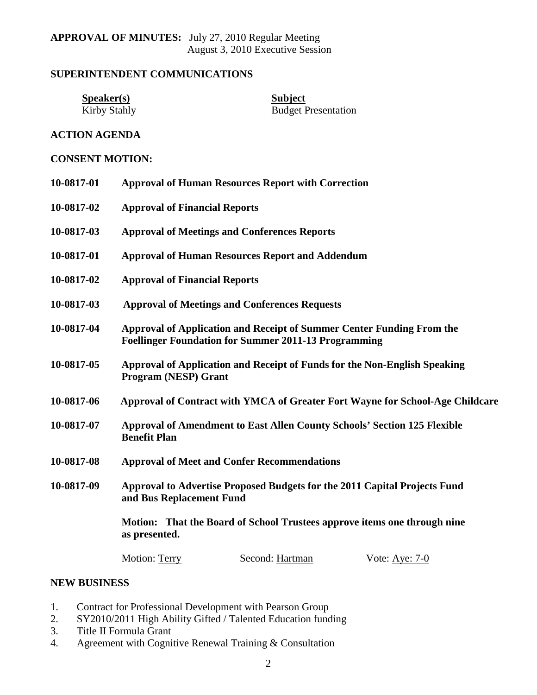## **SUPERINTENDENT COMMUNICATIONS**

**Speaker(s)**<br>
Kirby Stahly<br>
Budget P

**Budget Presentation** 

## **ACTION AGENDA**

### **CONSENT MOTION:**

| 10-0817-01 | <b>Approval of Human Resources Report with Correction</b>                                                                                                                                          |  |  |
|------------|----------------------------------------------------------------------------------------------------------------------------------------------------------------------------------------------------|--|--|
| 10-0817-02 | <b>Approval of Financial Reports</b>                                                                                                                                                               |  |  |
| 10-0817-03 | <b>Approval of Meetings and Conferences Reports</b>                                                                                                                                                |  |  |
| 10-0817-01 | <b>Approval of Human Resources Report and Addendum</b>                                                                                                                                             |  |  |
| 10-0817-02 | <b>Approval of Financial Reports</b>                                                                                                                                                               |  |  |
| 10-0817-03 | <b>Approval of Meetings and Conferences Requests</b>                                                                                                                                               |  |  |
| 10-0817-04 | <b>Approval of Application and Receipt of Summer Center Funding From the</b><br><b>Foellinger Foundation for Summer 2011-13 Programming</b>                                                        |  |  |
| 10-0817-05 | Approval of Application and Receipt of Funds for the Non-English Speaking<br><b>Program (NESP) Grant</b>                                                                                           |  |  |
| 10-0817-06 | Approval of Contract with YMCA of Greater Fort Wayne for School-Age Childcare                                                                                                                      |  |  |
| 10-0817-07 | <b>Approval of Amendment to East Allen County Schools' Section 125 Flexible</b><br><b>Benefit Plan</b>                                                                                             |  |  |
| 10-0817-08 | <b>Approval of Meet and Confer Recommendations</b>                                                                                                                                                 |  |  |
| 10-0817-09 | Approval to Advertise Proposed Budgets for the 2011 Capital Projects Fund<br>and Bus Replacement Fund<br>Motion: That the Board of School Trustees approve items one through nine<br>as presented. |  |  |
|            |                                                                                                                                                                                                    |  |  |
|            |                                                                                                                                                                                                    |  |  |

### **NEW BUSINESS**

- 1. Contract for Professional Development with Pearson Group
- 2. SY2010/2011 High Ability Gifted / Talented Education funding
- 3. Title II Formula Grant
- 4. Agreement with Cognitive Renewal Training & Consultation